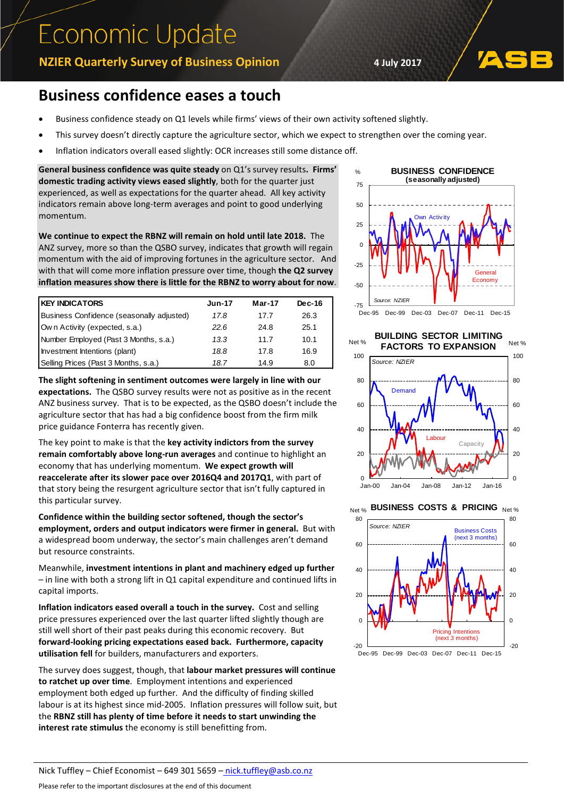## **Economic Update**

**NZIER Quarterly Survey of Business Opinion 4 July 2017**

## **Business confidence eases a touch**

- Business confidence steady on Q1 levels while firms' views of their own activity softened slightly.
- This survey doesn't directly capture the agriculture sector, which we expect to strengthen over the coming year.
- Inflation indicators overall eased slightly: OCR increases still some distance off.

**General business confidence was quite steady** on Q1's survey results**. Firms' domestic trading activity views eased slightly**, both for the quarter just experienced, as well as expectations for the quarter ahead. All key activity indicators remain above long-term averages and point to good underlying momentum.

**We continue to expect the RBNZ will remain on hold until late 2018.** The ANZ survey, more so than the QSBO survey, indicates that growth will regain momentum with the aid of improving fortunes in the agriculture sector. And with that will come more inflation pressure over time, though **the Q2 survey inflation measures show there is little for the RBNZ to worry about for now**.

| <b>KEY INDICATORS</b>                     | <b>Jun-17</b> | $Mar-17$ | $Dec-16$ |
|-------------------------------------------|---------------|----------|----------|
| Business Confidence (seasonally adjusted) | 17.8          | 17.7     | 26.3     |
| Own Activity (expected, s.a.)             | 22.6          | 24.8     | 25.1     |
| Number Employed (Past 3 Months, s.a.)     | 13.3          | 11.7     | 10.1     |
| Investment Intentions (plant)             | 18.8          | 17.8     | 16.9     |
| Selling Prices (Past 3 Months, s.a.)      | 18.7          | 14.9     | 8.0      |

**The slight softening in sentiment outcomes were largely in line with our expectations.** The QSBO survey results were not as positive as in the recent ANZ business survey. That is to be expected, as the QSBO doesn't include the agriculture sector that has had a big confidence boost from the firm milk price guidance Fonterra has recently given.

The key point to make is that the **key activity indictors from the survey remain comfortably above long-run averages** and continue to highlight an economy that has underlying momentum. **We expect growth will reaccelerate after its slower pace over 2016Q4 and 2017Q1**, with part of that story being the resurgent agriculture sector that isn't fully captured in this particular survey.

**Confidence within the building sector softened, though the sector's employment, orders and output indicators were firmer in general.** But with a widespread boom underway, the sector's main challenges aren't demand but resource constraints.

Meanwhile, **investment intentions in plant and machinery edged up further** – in line with both a strong lift in Q1 capital expenditure and continued lifts in capital imports.

**Inflation indicators eased overall a touch in the survey.** Cost and selling price pressures experienced over the last quarter lifted slightly though are still well short of their past peaks during this economic recovery. But **forward-looking pricing expectations eased back. Furthermore, capacity utilisation fell** for builders, manufacturers and exporters.

The survey does suggest, though, that **labour market pressures will continue to ratchet up over time**. Employment intentions and experienced employment both edged up further. And the difficulty of finding skilled labour is at its highest since mid-2005. Inflation pressures will follow suit, but the **RBNZ still has plenty of time before it needs to start unwinding the interest rate stimulus** the economy is still benefitting from.



## Net % **BUILDING SECTOR LIMITING FACTORS TO EXPANSION**



**BUSINESS COSTS & PRICING Net %** Net %



Nick Tuffley – Chief Economist – 649 301 5659 – [nick.tuffley@asb.co.nz](mailto:nick.tuffley@asb.co.nz)

Please refer to the important disclosures at the end of this document